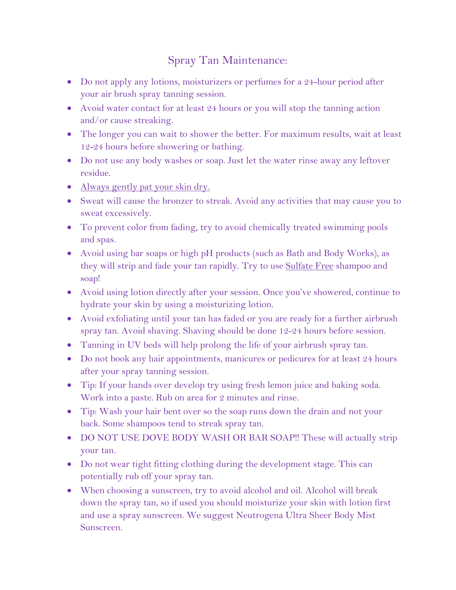## Spray Tan Maintenance:

- Do not apply any lotions, moisturizers or perfumes for a 24-hour period after your air brush spray tanning session.
- Avoid water contact for at least 24 hours or you will stop the tanning action and/or cause streaking.
- The longer you can wait to shower the better. For maximum results, wait at least 12-24 hours before showering or bathing.
- Do not use any body washes or soap. Just let the water rinse away any leftover residue.
- Always gently pat your skin dry.
- Sweat will cause the bronzer to streak. Avoid any activities that may cause you to sweat excessively.
- To prevent color from fading, try to avoid chemically treated swimming pools and spas.
- Avoid using bar soaps or high pH products (such as Bath and Body Works), as they will strip and fade your tan rapidly. Try to use Sulfate Free shampoo and soap!
- Avoid using lotion directly after your session. Once you've showered, continue to hydrate your skin by using a moisturizing lotion.
- Avoid exfoliating until your tan has faded or you are ready for a further airbrush spray tan. Avoid shaving. Shaving should be done 12-24 hours before session.
- Tanning in UV beds will help prolong the life of your airbrush spray tan.
- Do not book any hair appointments, manicures or pedicures for at least 24 hours after your spray tanning session.
- Tip: If your hands over develop try using fresh lemon juice and baking soda. Work into a paste. Rub on area for 2 minutes and rinse.
- Tip: Wash your hair bent over so the soap runs down the drain and not your back. Some shampoos tend to streak spray tan.
- DO NOT USE DOVE BODY WASH OR BAR SOAP!! These will actually strip your tan.
- Do not wear tight fitting clothing during the development stage. This can potentially rub off your spray tan.
- When choosing a sunscreen, try to avoid alcohol and oil. Alcohol will break down the spray tan, so if used you should moisturize your skin with lotion first and use a spray sunscreen. We suggest Neutrogena Ultra Sheer Body Mist Sunscreen.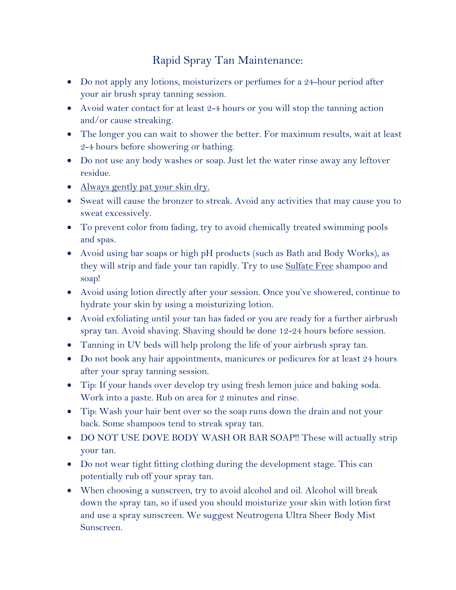## Rapid Spray Tan Maintenance:

- Do not apply any lotions, moisturizers or perfumes for a 24-hour period after your air brush spray tanning session.
- Avoid water contact for at least 2-4 hours or you will stop the tanning action and/or cause streaking.
- The longer you can wait to shower the better. For maximum results, wait at least 2-4 hours before showering or bathing.
- Do not use any body washes or soap. Just let the water rinse away any leftover residue.
- Always gently pat your skin dry.
- Sweat will cause the bronzer to streak. Avoid any activities that may cause you to sweat excessively.
- To prevent color from fading, try to avoid chemically treated swimming pools and spas.
- Avoid using bar soaps or high pH products (such as Bath and Body Works), as they will strip and fade your tan rapidly. Try to use Sulfate Free shampoo and soap!
- Avoid using lotion directly after your session. Once you've showered, continue to hydrate your skin by using a moisturizing lotion.
- Avoid exfoliating until your tan has faded or you are ready for a further airbrush spray tan. Avoid shaving. Shaving should be done 12-24 hours before session.
- Tanning in UV beds will help prolong the life of your airbrush spray tan.
- Do not book any hair appointments, manicures or pedicures for at least 24 hours after your spray tanning session.
- Tip: If your hands over develop try using fresh lemon juice and baking soda. Work into a paste. Rub on area for 2 minutes and rinse.
- Tip: Wash your hair bent over so the soap runs down the drain and not your back. Some shampoos tend to streak spray tan.
- DO NOT USE DOVE BODY WASH OR BAR SOAP!! These will actually strip your tan.
- Do not wear tight fitting clothing during the development stage. This can potentially rub off your spray tan.
- When choosing a sunscreen, try to avoid alcohol and oil. Alcohol will break down the spray tan, so if used you should moisturize your skin with lotion first and use a spray sunscreen. We suggest Neutrogena Ultra Sheer Body Mist Sunscreen.